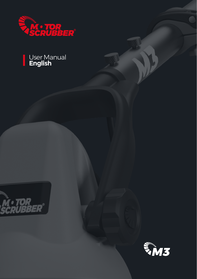

#### User Manual **English**



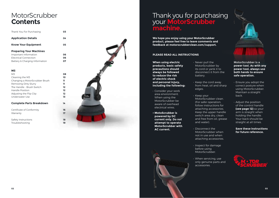### MotorScrubber **Contents**

| Thank You For Purchasing       | 03 |
|--------------------------------|----|
| <b>Application Details</b>     | 04 |
| <b>Know Your Equipment</b>     | 05 |
| <b>Preparing Your Machines</b> |    |
| Important Information          | 06 |
| Electrical Connection          | 06 |
| Battery & Charging Information | 07 |

#### **M3**

| M3                             | 08 |
|--------------------------------|----|
| Cleaning the M3                | 10 |
| Changing a MotorScrubber Brush | 11 |
| Removing Dirty Slurry          | 11 |
| The Handle - Brush Switch      | 12 |
| Handle Position                | 12 |
| Adjusting the Flip Clip        | 12 |
| Underwater Use                 | 13 |

#### **Complete Parts Breakdown 14**

**Certificate of Conformity 16**<br>Warranty **17 Warranty** 

Safety Instructions **18** Troubleshooting **19**



### Thank you for purchasing your **MotorScrubber machine.**

**We hope you enjoy using your MotorScrubber product, please feel free to leave comments and feedback at motorscrubberclean.com/support.**

#### **PLEASE READ ALL INSTRUCTIONS**

**When using electric products, basic safety precautions should always be followed to reduce the risk of electric shock and personal injury, including the following:**

- Consider your work area environment. When using the MotorScrubber be aware of overhead electrical wires.
- **• MotoScrubber is powered by DC current only. Do not attempt to operate MotorScrubber with AC current.**



- Never pull the MotorScrubber by its cord or yank it to disconnect it from the battery.
- Keep the cord away from heat, oil and sharp edges.
- Keep your MotorScrubber clean. (For safer operation, follow instructions for attaching accessories. Keep the upper handle switch area dry, clean and free from oil, grease and water).
- Disconnect the MotorScrubber when not in use and when attaching accessories.
- Inspect for damage before using MotorScrubber.
- When servicing, use only genuine parts and accessories.



**MotorScrubber is a power tool. As with any power tool, always use both hands to ensure safe operation.**

- Ensure you adopt the correct posture when using MotorScrubber. Maintain a straight back.
- Adjust the position of the control handle **(see page 12)** so your arm is straight when holding the handle. Your back should be straight at all times.

**Save these instructions for future reference.**

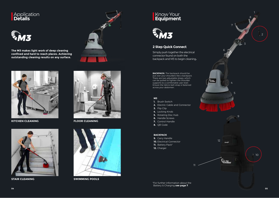#### Application **Details**



**The M3 makes light work of deep cleaning confined and hard to reach places. Achieving outstanding cleaning results on any surface.**



**KITCHEN CLEANING**



**04**





**FLOOR CLEANING**



**STAIR CLEANING** 

#### <u>K</u>now Your **Equipment**

# $\sum_{i=1}^{n} M_{i}$

#### **2 Step Quick Connect**

Simply push together the electrical connector found on both the backpack and M3 to begin cleaning**.**

**BACKPACK:** The backpack should be put over your shoulders like a backpack. There are two adjustable straps, which can be pulled to tighten the shoulder supports to a comfortable user level. Ensure the Velcro belt strap is fastened across your abdomen.

#### **M3**

- **1.** Brush Switch
- **2.** Electric Cable and Connector
- **3.** Flip Clip
- **4.** Locking Knob
- **5.** Rotating Disc Hub
- **6.** Handle Screws
- **7.** Control Handle
- **8.** QR Code

#### **BACKPACK**

**9.** Carry Handle **10.** Electrical Connector **11.** Battery Pack\* **12.** Charger

\*For further information about the Battery & Charging **see page 7**.

11



5

 $\alpha$ 

4

6

Guna.

12

**Charge** 

**RADISCO** 

 $10$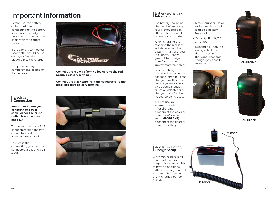### Important **Information**

Before use, the battery coiled cord needs connecting to the battery terminals. It is vitally important to connect the cable with the correct polarity.

If the cable is connected incorrectly it could cause damage / fire when plugged into the charger.

Unzip the battery compartment located on the backpack.



**Connect the red wire from coiled cord to the red positive battery terminal.** 

**Connect the black wire from the coiled cord to the black negative battery terminal.**

#### **Electrical Connection**

**Important: before you connect the power cable, check the brush switch is not on. (see page 12).**

To connect the black SAE connectors align the two connectors and push together until closed.

To release the connection, grip the two connected areas and pull apart.



#### Battery & Charging **Information**

- The battery should be charged before using your MotorScrubber, after each use, and if unused for 4 months.
- When charging the machine the red light will show, when the battery is fully charged the light will show green. A full charge from flat will take approximately 8 hours.
- Connect charger to the coiled cable on the backpack then plug the charger directly into a 120 VAC/60HZ or 240 VAC electrical outlet, or use an adapter or a charger made for the AC source being used.
- (Do not use an extension cord). After charging, disconnect the charger from the AC outlet and **(IMPORTANT)** disconnect the charger from the battery.
- MotorScrubber uses a rechargeable sealed lead-acid battery. Non-spillable.
- Capacity: 12-volt, 7.0 amp-hour.
- Depending upon the average depth of discharge, over a thousand discharge/ charge cycles can be expected. **CHARGING**<br>expected.





**CHARGED**

#### **Additional Battery** Charge **Setup**

When you require long periods of machine usage, it is always advised to have an additional battery on charge so that you can switch over to a fully charged battery

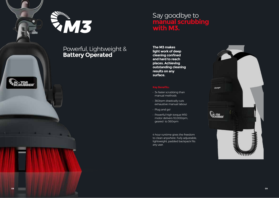



### Powerful, Lightweight & **Battery Operated**

### Say goodbye to **manual scrubbing with M3.**

**The M3 makes light work of deep cleaning confined and hard to reach places. Achieving outstanding cleaning results on any surface.**

- 3x faster scrubbing than manual methods
- 360rpm drastically cuts exhaustive manual labour
- Plug and go!
- Powerful high torque M10 motor delivers 10,000rpm, geared to 360rpm

4 hour runtime gives the freedom to clean anywhere. Fully adjustable, lightweight, padded backpack fits any user.

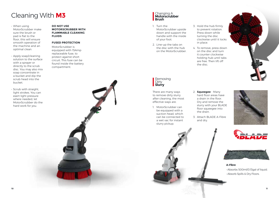### Cleaning With **M3**

- When using MotorScrubber make sure the brush or pad is flat to the floor, this will ensure smooth operation of the machine and an optimal clean.
- Apply soap/cleaning solution to the surface with a sprayer or directly to the scrub disc. You may also mix soap concentrate in a bucket and dip the scrub head into the bucket.
- Scrub with straight, light strokes. You can exert light pressure where needed, let MotorScrubber do the hard work for you.

#### **DO NOT USE MOTORSCRUBBER WITH FLAMMABLE CLEANING FLUIDS**

#### **FUSED PROTECTION**

MotorScrubber is equipped with 15Amp replaceable fuse, to protect against short circuit. This fuse can be found inside the battery compartment.

### Changing A **Motorscrubber**

1. Turn the MotorScrubber upside down and support the handle with the inside of your foot.

**Brush**

2. Line-up the tabs on the disc with the hub on the MotorScrubber.

**Removing Dirty Slurry**

There are many ways to remove dirty slurry after cleaning, the most effective ways are:

1. MotorScrubber can be equipped with a suction head, which can be connected to a wet vac for instant slurry pickup.

- 3. Hold the hub firmly to prevent rotation. Press down while turning the disc clockwise until it locks in place.
- 4. To remove, press down on the disc and turn it counter clockwise holding hub until tabs are free. Then lift off the disc.



- 2. **Squeegee**  Many hard floor areas have a drain in the floor. Dry and remove the slurry with your BLADE floor squeegee into the drain.
- 3. Attach BLADE A-Fibre and dry.







**A-Fibre**

• Absorbs 500ml/0.13gal of liquid. • Absorb Spills & Dry Floors.



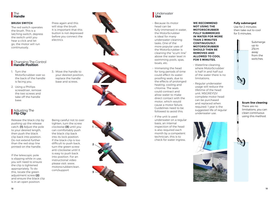

#### **BRUSH SWITCH**

The red switch operates the brush. This is a latching switch, depress the switch until you hear a click and let go, the motor will run continuously.

Press again and this will stop the brush. It is important that this button is not depressed before you connect the electrics.



#### Changing The Control **Handle Position**

- 1. Turn the MotorScrubber over so the back of the handle is facing you.
- 2. Using a Phillips screwdriver, remove the two screws and take off the handle base.
- 3. Move the handle to your desired position, replace the handle base and screws.



#### **Adjusting The Flip Clip**

Release the black clip by pushing up the release catch. **(1)** Adjust the pole to your desired length, then push the black clip back into position. Do not extend further than the red stop line printed on the handle.

If the telescopic pole is slipping while in use, you will need to ensure the clip is tightened appropriately. To do this, locate the green adjustment screw **(2)**  and ensure the black clip is in an open position.

Being careful not to over tighten, turn the screw clockwise **(3)** until you can comfortably push the black clip back into its lock position. If the black clip is too difficult to push back, turn the green screw anti-clockwise until it is easy to push back into position. For an instructional video please visit: www. motorscrubberclean. com/support



#### Underwater **Use**

- Because its motor head can be fully-immersed in water, the MotorScrubber is ideal for many underwater cleaning tasks. One of the more popular uses of the MotorScrubber is cleaning the "scum line" above the water level in swimming pools, spas, boats, etc.
- Immersing the head for long periods of time could effect its waterproofing seals, due to the effects of prolonged heating, cooling and chlorine. The seals could contract and allow water to make direct contact with the motor, which would cause a motor failure. Guidelines need to be followed to avoid this.
- If the unit is used underwater on a regular basis, an internal inspection of the head is also required each month by a competent technician, this is to check for water ingress.

#### **WE RECOMMEND NOT USING THE MOTORSCRUBBER FULLY SUBMERGED IN WATER FOR MORE THAN 2 MINUTES CONTINUOUSLY. MOTORSCRUBBER SHOULD THEN BE REMOVED AND ALLOWED TO COOL FOR 5 MINUTES.**

- Waterline cleaning, where MotorScrubber is half in and half out of the water there is no limitations.
- Regular underwater usage will reduce the lifetime of the head unit. MSGREY12V complete motor head can be purchased and replaced when required. 1 year is the suggested life of regular underwater use.



#### **Fully submerged**

Use for 2 minutes then take out to cool for 5 minutes.

> Submerge up to 25cm away from the switches.

#### **Scum line cleaning**

There are no limitations, you can clean continuous using this method.

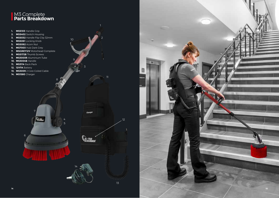## **M3 Complete**<br>**Parts Breakdown**



13

12

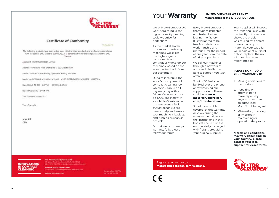

#### **Certificate of Conformity**

**DEGELMANIE** 

The following products have been tested by us with the listed standards and are found in compliance with the council EMC Directive 2014/30/EU. It is demonstrative for the compliance with this EMC Directive.

Applicant: MOTORSCRUBBER Limited

Address: 8 Orgreave road, Sheffield \$13 9LO Great Britain

Product: Motorscrubber Battery operated Cleaning Machines

Model No: MS2000S, MS2000M, MS2000L, MSJET, MSPROWASH, MSFORCE, MSSTORM

Rated Input: AC 100 - 240Volt-, 50/60Hz, 0.6Amp

Rated Output: DC 12 Volt. 7Ah

Test Standards: EN55014-1

Yours Sincerely.

Imre Killi CEO

#### **INNOVATORS IN COMPACT CLEANING**

UK & WORLDWIDE HELP DESK (GMT) 8 Orgeone Road, Handworth, Sheffield, SIS 910. 0044 (0)14 476 8710 : orden@mntsnicrubberclean.com

USA HELP DESK (CENTRAL TIME) 430 536 3307 - uitsomendemotorscrubbencham.com

motorscrubberclean.com

Company Reg. 1227/14 VAT No. 518 TAO 39

### Your **Warranty**

We at MotorScrubber UK work hard to build the highest quality cleaning tools, we strive for perfection!

As the market leader in compact scrubbing machines, we select the highest grade components and continuously develop our machines, based on the valuable feedback from our customers.

Our aim is to build the world's most powerful, compact cleaning tool, which you can use all day every day without failure. We want you to be 100% satisfied with your MotorScrubber, in the rare event a fault should occur, we are here to help and ensure your machine is back up and running as soon as possible.

So that we can cover your warranty fully, please follow our terms.

Every MotorScrubber is thoroughly inspected and tested before leaving the factory. It is warranted to be free from defects in workmanship and materials, for the period of one year from the date of original purchase.

**LIMITED ONE-YEAR WARRANTY MotorScrubber M3 12-VOLT DC TOOL** 

We sell our machines through a network of approved distributors able to support you with aftercare.

9 out of 10 faults can be fixed over the phone or by watching our support videos. Please chek here: **www.**

#### **motorscrubberclean. com/how-to-videos**

Should any problem covered by this warranty develop during the one-year period, follow the instructions in this booklet and return the unit, carefully packaged with freight prepaid to your original supplier.

Your supplier will inspect the item and liaise with us directly. If inspection shows the problem was caused by a defect in workmanship or materials, your supplier will repair (or at our joint option, replace) the unit without charge, return freight prepaid.

#### **PLEASE DON'T VOID YOUR WARRANTY BY:**

- 1. Making alterations to the product.
- 2. Repairing or attempting to make repairs by anyone other than an authorised MotorScrubber agent.
- 3. Mistreating, misusing or improperly maintaining or operating the product.

**\*Terms and conditions may vary depending on your country, please contact your local supplier for exact terms.**

Register your warranty at: **motorscrubberclean.com/warranty**



**16 17**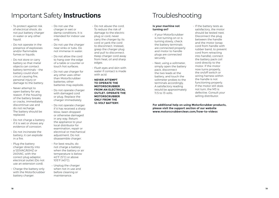### Important Safety **Instructions**

- To protect against risk of electrical shock, do not put battery charger in water or any other liquid.
- Do not operate in the presence of explosives and/or flammable fumes or liquids.
- Do not store or carry battery so that metal objects can contact battery terminals – the battery could short circuit causing fire, personal injury or damage to the battery.
- Never attempt to open battery for any reason. If the housing of the battery breaks or cracks, immediately discontinue use and do not recharge. The battery should be replaced.
- Do not charge a battery if it is wet or shows any evidence of corrosion.
- Do not incinerate the battery; it can explode in a fire.
- Plug the battery charger directly into a 120VAC/60HZ or 240VAC, with the correct plug adaptor, electrical outlet (Do not use an extension cord).
- Charge the battery only with the MotorScrubber battery charger.
- Do not use the charger in wet or damp conditions. It is intended for indoor use only.
- Do not use the charger near sinks or tubs. Do not immerse in water.
- Do not allow the cord to hang over the edge of a table or counter or touch hot surfaces.
- Do not use charger for any other uses other than MotorScrubber batteries; other batteries may explode.
- Do not operate charger with damaged cord or plug. Replace the charger immediately.
- Do not operate charger if it has received a sharp blow, been dropped or otherwise damaged in any way. Return the appliance to your local distributor for examination, repair or electrical or mechanical adjustment. Do not disassemble charger.
- For best results, do not charge a battery when the battery or air temperature is below 40°F (5°C) or above 105°F (40°C).
- Unplug the charger when not in use and before cleaning or maintenance.
- Do not abuse the cord. To reduce the risk of damage to the electric plug or cord, never carry the charger by its cord or yank the cord to disconnect. Instead, grasp the charger plug and pull to disconnect. Keep charger cord away from heat, oil and sharp edges.
- Flush eyes and skin with water if contact is made with acid.
- **NEVER ATTEMPT TO OPERATE THE MOTORSCRUBBER FROM AN ELECTRICAL OUTLET. OPERATE THE MOTORSCRUBBER ONLY FROM THE 12-VOLT BATTERY.**

### Troubleshooting

#### **Is your machine not turning on?**

- If your MotorScrubber is not turning on or is turning slowly, check the battery terminals are connected properly and motor to handle plugs are connected securely.
- Next, using a voltmeter, simply open the battery pack, disconnect the two leads at the battery, and touch the voltmeter probes to the terminals accordingly. A satisfactory reading would be approximately 11.5 to 13 volts.

• If the battery tests as satisfactory, the motor should be tested next. Disconnect the plug between the handle and the motor (wrap cord from handle with rubber band, to prevent cord from retracting into handle), connect the battery pack coil cord directly to the motor. If the motor now turns properly, the on/off switch or wiring harness within the handle is not functioning properly. If the motor still does not turn, the M3 is defective. Consult your selling distributor.

**For additional help on using MotorScrubber products, please visit the support section of our website www.motorscrubberclean.com/how-to-videos**